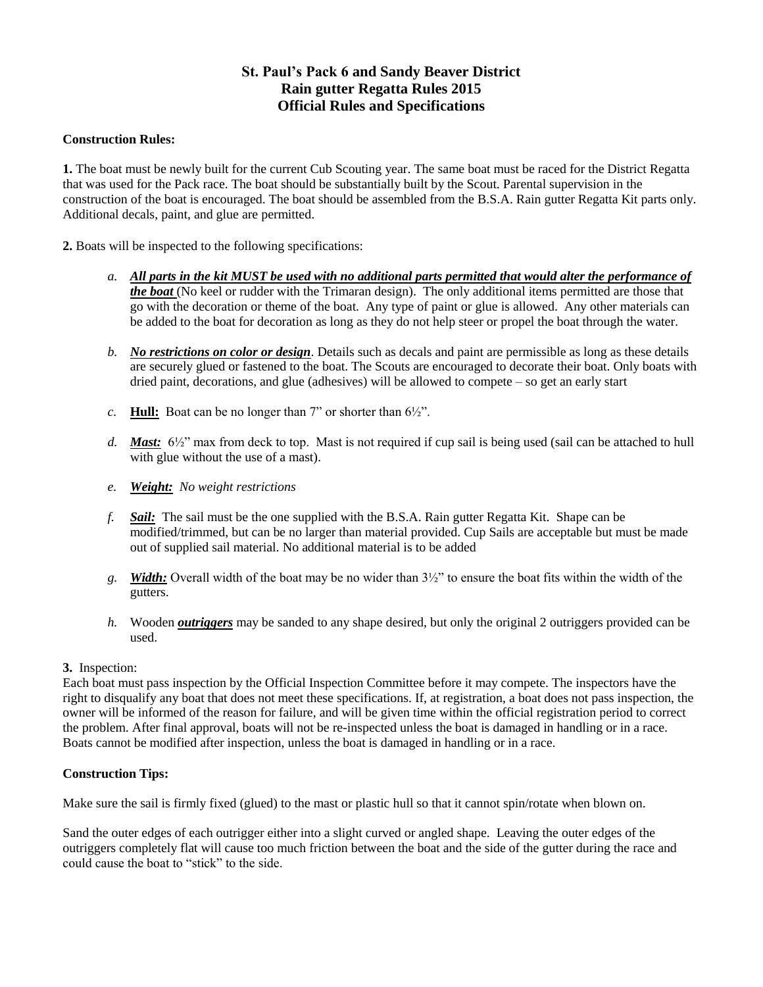### **St. Paul's Pack 6 and Sandy Beaver District Rain gutter Regatta Rules 2015 Official Rules and Specifications**

#### **Construction Rules:**

**1.** The boat must be newly built for the current Cub Scouting year. The same boat must be raced for the District Regatta that was used for the Pack race. The boat should be substantially built by the Scout. Parental supervision in the construction of the boat is encouraged. The boat should be assembled from the B.S.A. Rain gutter Regatta Kit parts only. Additional decals, paint, and glue are permitted.

**2.** Boats will be inspected to the following specifications:

- *a. All parts in the kit MUST be used with no additional parts permitted that would alter the performance of the boat* (No keel or rudder with the Trimaran design). The only additional items permitted are those that go with the decoration or theme of the boat. Any type of paint or glue is allowed. Any other materials can be added to the boat for decoration as long as they do not help steer or propel the boat through the water.
- *b. No restrictions on color or design*. Details such as decals and paint are permissible as long as these details are securely glued or fastened to the boat. The Scouts are encouraged to decorate their boat. Only boats with dried paint, decorations, and glue (adhesives) will be allowed to compete – so get an early start
- *c.* **Hull:** Boat can be no longer than 7" or shorter than 6½".
- *d. Mast:* 6½" max from deck to top. Mast is not required if cup sail is being used (sail can be attached to hull with glue without the use of a mast).
- *e. Weight: No weight restrictions*
- *f. Sail:* The sail must be the one supplied with the B.S.A. Rain gutter Regatta Kit. Shape can be modified/trimmed, but can be no larger than material provided. Cup Sails are acceptable but must be made out of supplied sail material. No additional material is to be added
- *g. Width:* Overall width of the boat may be no wider than 3½" to ensure the boat fits within the width of the gutters.
- *h.* Wooden *outriggers* may be sanded to any shape desired, but only the original 2 outriggers provided can be used.

#### **3.** Inspection:

Each boat must pass inspection by the Official Inspection Committee before it may compete. The inspectors have the right to disqualify any boat that does not meet these specifications. If, at registration, a boat does not pass inspection, the owner will be informed of the reason for failure, and will be given time within the official registration period to correct the problem. After final approval, boats will not be re-inspected unless the boat is damaged in handling or in a race. Boats cannot be modified after inspection, unless the boat is damaged in handling or in a race.

#### **Construction Tips:**

Make sure the sail is firmly fixed (glued) to the mast or plastic hull so that it cannot spin/rotate when blown on.

Sand the outer edges of each outrigger either into a slight curved or angled shape. Leaving the outer edges of the outriggers completely flat will cause too much friction between the boat and the side of the gutter during the race and could cause the boat to "stick" to the side.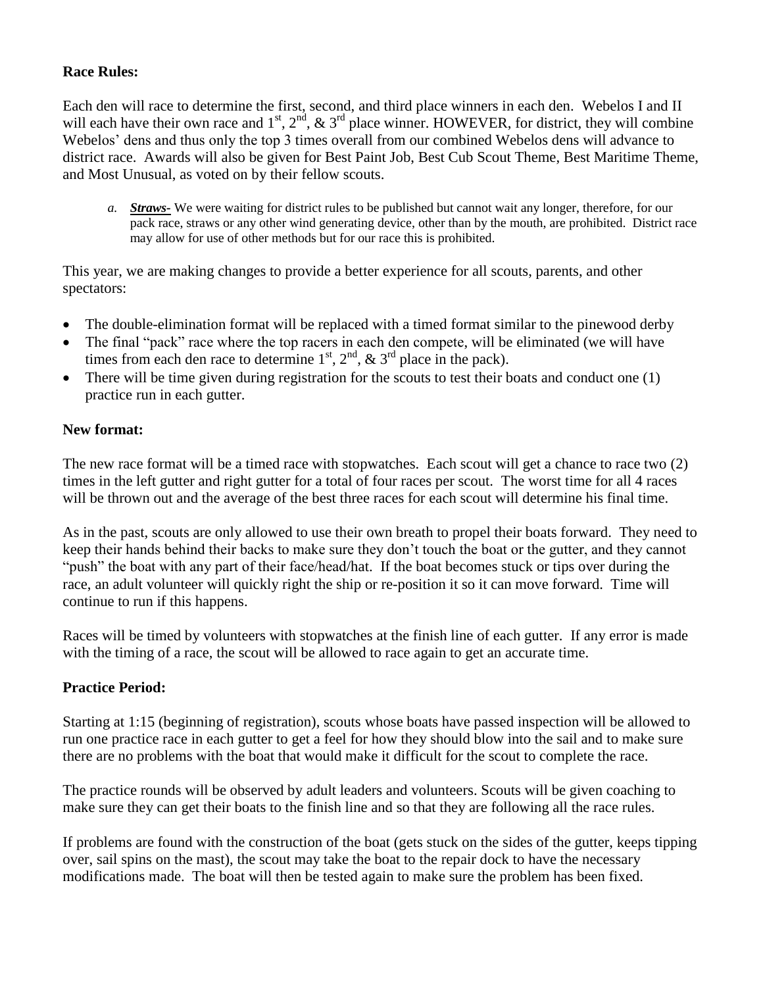## **Race Rules:**

Each den will race to determine the first, second, and third place winners in each den. Webelos I and II will each have their own race and  $1^{st}$ ,  $2^{nd}$ ,  $\& 3^{rd}$  place winner. HOWEVER, for district, they will combine Webelos' dens and thus only the top 3 times overall from our combined Webelos dens will advance to district race. Awards will also be given for Best Paint Job, Best Cub Scout Theme, Best Maritime Theme, and Most Unusual, as voted on by their fellow scouts.

*a. Straws-* We were waiting for district rules to be published but cannot wait any longer, therefore, for our pack race, straws or any other wind generating device, other than by the mouth, are prohibited. District race may allow for use of other methods but for our race this is prohibited.

This year, we are making changes to provide a better experience for all scouts, parents, and other spectators:

- The double-elimination format will be replaced with a timed format similar to the pinewood derby
- The final "pack" race where the top racers in each den compete, will be eliminated (we will have times from each den race to determine  $1<sup>st</sup>$ ,  $2<sup>nd</sup>$ ,  $\& 3<sup>rd</sup>$  place in the pack).
- There will be time given during registration for the scouts to test their boats and conduct one (1) practice run in each gutter.

# **New format:**

The new race format will be a timed race with stopwatches. Each scout will get a chance to race two (2) times in the left gutter and right gutter for a total of four races per scout. The worst time for all 4 races will be thrown out and the average of the best three races for each scout will determine his final time.

As in the past, scouts are only allowed to use their own breath to propel their boats forward. They need to keep their hands behind their backs to make sure they don't touch the boat or the gutter, and they cannot "push" the boat with any part of their face/head/hat. If the boat becomes stuck or tips over during the race, an adult volunteer will quickly right the ship or re-position it so it can move forward. Time will continue to run if this happens.

Races will be timed by volunteers with stopwatches at the finish line of each gutter. If any error is made with the timing of a race, the scout will be allowed to race again to get an accurate time.

### **Practice Period:**

Starting at 1:15 (beginning of registration), scouts whose boats have passed inspection will be allowed to run one practice race in each gutter to get a feel for how they should blow into the sail and to make sure there are no problems with the boat that would make it difficult for the scout to complete the race.

The practice rounds will be observed by adult leaders and volunteers. Scouts will be given coaching to make sure they can get their boats to the finish line and so that they are following all the race rules.

If problems are found with the construction of the boat (gets stuck on the sides of the gutter, keeps tipping over, sail spins on the mast), the scout may take the boat to the repair dock to have the necessary modifications made. The boat will then be tested again to make sure the problem has been fixed.